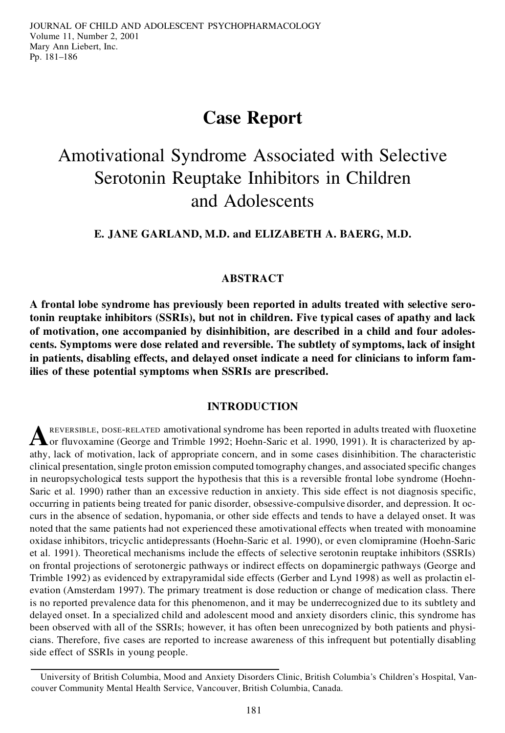## **Case Report**

# Amotivational Syndrome Associated with Selective Serotonin Reuptake Inhibitors in Children and Adolescents

**E. JANE GARLAND, M.D. and ELIZABETH A. BAERG, M.D.**

## **ABSTRACT**

**A frontal lobe syndrome has previously been reported in adults treated with selective serotonin reuptake inhibitors (SSRIs), but not in children. Five typical cases of apathy and lack of motivation, one accompanied by disinhibition, are described in a child and four adolescents. Symptoms were dose related and reversible. The subtlety of symptoms, lack of insight in patients, disabling effects, and delayed onset indicate a need for clinicians to inform families of these potential symptoms when SSRIs are prescribed.**

### **INTRODUCTION**

**A** REVERSIBLE, DOSE-RELATED amotivational syndrome has been reported in adults treated with fluoxetine (George and Trimble 1992; Hoehn-Saric et al. 1990, 1991). It is characterized by ap-REVERSIBLE, DOSE-RELATED amotivational syndrome has been reported in adults treated with fluoxetine athy, lack of motivation, lack of appropriate concern, and in some cases disinhibition. The characteristic clinical presentation, single proton emission computed tomography changes, and associated specific changes in neuropsychological tests support the hypothesis that this is a reversible frontal lobe syndrome (Hoehn-Saric et al. 1990) rather than an excessive reduction in anxiety. This side effect is not diagnosis specific, occurring in patients being treated for panic disorder, obsessive-compulsive disorder, and depression. It occurs in the absence of sedation, hypomania, or other side effects and tends to have a delayed onset. It was noted that the same patients had not experienced these amotivational effects when treated with monoamine oxidase inhibitors, tricyclic antidepressants (Hoehn-Saric et al. 1990), or even clomipramine (Hoehn-Saric et al. 1991). Theoretical mechanisms include the effects of selective serotonin reuptake inhibitors (SSRIs) on frontal projections of serotonergic pathways or indirect effects on dopaminergic pathways (George and Trimble 1992) as evidenced by extrapyramidal side effects (Gerber and Lynd 1998) as well as prolactin elevation (Amsterdam 1997). The primary treatment is dose reduction or change of medication class. There is no reported prevalence data for this phenomenon, and it may be underrecognized due to its subtlety and delayed onset. In a specialized child and adolescent mood and anxiety disorders clinic, this syndrome has been observed with all of the SSRIs; however, it has often been unrecognized by both patients and physicians. Therefore, five cases are reported to increase awareness of this infrequent but potentially disabling side effect of SSRIs in young people.

University of British Columbia, Mood and Anxiety Disorders Clinic, British Columbia's Children's Hospital, Van couver Community Mental Health Service, Vancouver, British Columbia, Canada.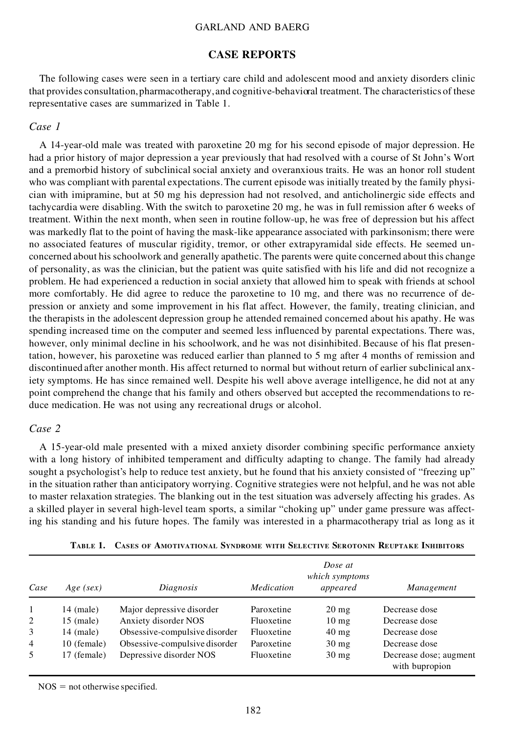#### GARLAND AND BAERG

## **CASE REPORTS**

The following cases were seen in a tertiary care child and adolescent mood and anxiety disorders clinic that provides consultation, pharmacotherapy, and cognitive-behavioral treatment. The characteristics of these representative cases are summarized in Table 1.

#### *Case 1*

A 14-year-old male was treated with paroxetine 20 mg for his second episode of major depression. He had a prior history of major depression a year previously that had resolved with a course of St John's Wort and a premorbid history of subclinical social anxiety and overanxious traits. He was an honor roll student who was compliant with parental expectations. The current episode was initially treated by the family physician with imipramine, but at 50 mg his depression had not resolved, and anticholinergic side effects and tachycardia were disabling. With the switch to paroxetine 20 mg, he was in full remission after 6 weeks of treatment. Within the next month, when seen in routine follow-up, he was free of depression but his affect was markedly flat to the point of having the mask-like appearance associated with parkinsonism; there were no associated features of muscular rigidity, tremor, or other extrapyramidal side effects. He seemed unconcerned about his schoolwork and generally apathetic. The parents were quite concerned about this change of personality, as was the clinician, but the patient was quite satisfied with his life and did not recognize a problem. He had experienced a reduction in social anxiety that allowed him to speak with friends at school more comfortably. He did agree to reduce the paroxetine to 10 mg, and there was no recurrence of depression or anxiety and some improvement in his flat affect. However, the family, treating clinician, and the therapists in the adolescent depression group he attended remained concerned about his apathy. He was spending increased time on the computer and seemed less influenced by parental expectations. There was, however, only minimal decline in his schoolwork, and he was not disinhibited. Because of his flat presentation, however, his paroxetine was reduced earlier than planned to 5 mg after 4 months of remission and discontinued after another month. His affect returned to normal but without return of earlier subclinical anxiety symptoms. He has since remained well. Despite his well above average intelligence, he did not at any point comprehend the change that his family and others observed but accepted the recommendations to reduce medication. He was not using any recreational drugs or alcohol.

#### *Case 2*

A 15-year-old male presented with a mixed anxiety disorder combining specific performance anxiety with a long history of inhibited temperament and difficulty adapting to change. The family had already sought a psychologist's help to reduce test anxiety, but he found that his anxiety consisted of "freezing up" in the situation rather than anticipatory worrying. Cognitive strategies were not helpful, and he was not able to master relaxation strategies. The blanking out in the test situation was adversely affecting his grades. As a skilled player in several high-level team sports, a similar "choking up" under game pressure was affecting his standing and his future hopes. The family was interested in a pharmacotherapy trial as long as it

| Case           | $Age$ (sex)         | Diagnosis                     | <i>Medication</i> | Dose at<br>which symptoms<br>appeared | Management                               |
|----------------|---------------------|-------------------------------|-------------------|---------------------------------------|------------------------------------------|
|                | $14 \text{ (male)}$ | Major depressive disorder     | Paroxetine        | $20 \text{ mg}$                       | Decrease dose                            |
| 2              | $15 \text{ (male)}$ | Anxiety disorder NOS          | Fluoxetine        | $10 \text{ mg}$                       | Decrease dose                            |
| 3              | $14 \text{ (male)}$ | Obsessive-compulsive disorder | Fluoxetine        | $40 \text{ mg}$                       | Decrease dose                            |
| $\overline{4}$ | 10 (female)         | Obsessive-compulsive disorder | Paroxetine        | $30 \text{ mg}$                       | Decrease dose                            |
| .5             | 17 (female)         | Depressive disorder NOS       | Fluoxetine        | $30 \text{ mg}$                       | Decrease dose; augment<br>with bupropion |

**TABLE 1. CASES OF AMOTIVATIONAL SYNDROME WITH SELECTIVE SEROTONIN REUPTAKE INHIBITORS**

 $NOS = not otherwise specified.$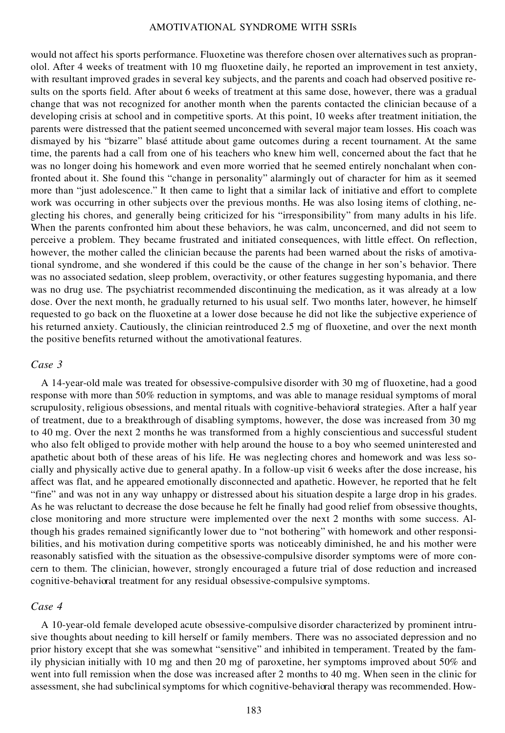#### AMOTIVATIONAL SYNDROME WITH SSRIs

would not affect his sports performance. Fluoxetine was therefore chosen over alternatives such as propranolol. After 4 weeks of treatment with 10 mg fluoxetine daily, he reported an improvement in test anxiety, with resultant improved grades in several key subjects, and the parents and coach had observed positive results on the sports field. After about 6 weeks of treatment at this same dose, however, there was a gradual change that was not recognized for another month when the parents contacted the clinician because of a developing crisis at school and in competitive sports. At this point, 10 weeks after treatment initiation, the parents were distressed that the patient seemed unconcerned with several major team losses. His coach was dismayed by his "bizarre" blasé attitude about game outcomes during a recent tournament. At the same time, the parents had a call from one of his teachers who knew him well, concerned about the fact that he was no longer doing his homework and even more worried that he seemed entirely nonchalant when confronted about it. She found this "change in personality" alarmingly out of character for him as it seemed more than "just adolescence." It then came to light that a similar lack of initiative and effort to complete work was occurring in other subjects over the previous months. He was also losing items of clothing, neglecting his chores, and generally being criticized for his "irresponsibility" from many adults in his life. When the parents confronted him about these behaviors, he was calm, unconcerned, and did not seem to perceive a problem. They became frustrated and initiated consequences, with little effect. On reflection, however, the mother called the clinician because the parents had been warned about the risks of amotivational syndrome, and she wondered if this could be the cause of the change in her son's behavior. There was no associated sedation, sleep problem, overactivity, or other features suggesting hypomania, and there was no drug use. The psychiatrist recommended discontinuing the medication, as it was already at a low dose. Over the next month, he gradually returned to his usual self. Two months later, however, he himself requested to go back on the fluoxetine at a lower dose because he did not like the subjective experience of his returned anxiety. Cautiously, the clinician reintroduced 2.5 mg of fluoxetine, and over the next month the positive benefits returned without the amotivational features.

#### *Case 3*

A 14-year-old male was treated for obsessive-compulsive disorder with 30 mg of fluoxetine, had a good response with more than 50% reduction in symptoms, and was able to manage residual symptoms of moral scrupulosity, religious obsessions, and mental rituals with cognitive-behavioral strategies. After a half year of treatment, due to a breakthrough of disabling symptoms, however, the dose was increased from 30 mg to 40 mg. Over the next 2 months he was transformed from a highly conscientious and successful student who also felt obliged to provide mother with help around the house to a boy who seemed uninterested and apathetic about both of these areas of his life. He was neglecting chores and homework and was less socially and physically active due to general apathy. In a follow-up visit 6 weeks after the dose increase, his affect was flat, and he appeared emotionally disconnected and apathetic. However, he reported that he felt "fine" and was not in any way unhappy or distressed about his situation despite a large drop in his grades. As he was reluctant to decrease the dose because he felt he finally had good relief from obsessive thoughts, close monitoring and more structure were implemented over the next 2 months with some success. Although his grades remained significantly lower due to "not bothering" with homework and other responsibilities, and his motivation during competitive sports was noticeably diminished, he and his mother were reasonably satisfied with the situation as the obsessive-compulsive disorder symptoms were of more concern to them. The clinician, however, strongly encouraged a future trial of dose reduction and increased cognitive-behavioral treatment for any residual obsessive-compulsive symptoms.

#### *Case 4*

A 10-year-old female developed acute obsessive-compulsive disorder characterized by prominent intrusive thoughts about needing to kill herself or family members. There was no associated depression and no prior history except that she was somewhat "sensitive" and inhibited in temperament. Treated by the family physician initially with 10 mg and then 20 mg of paroxetine, her symptoms improved about 50% and went into full remission when the dose was increased after 2 months to 40 mg. When seen in the clinic for assessment, she had subclinical symptoms for which cognitive-behavioral therapy was recommended. How-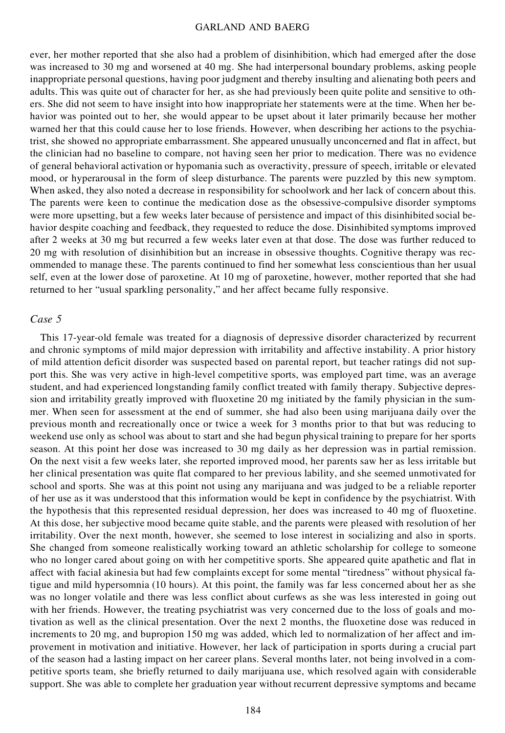#### GARLAND AND BAERG

ever, her mother reported that she also had a problem of disinhibition, which had emerged after the dose was increased to 30 mg and worsened at 40 mg. She had interpersonal boundary problems, asking people inappropriate personal questions, having poor judgment and thereby insulting and alienating both peers and adults. This was quite out of character for her, as she had previously been quite polite and sensitive to others. She did not seem to have insight into how inappropriate her statements were at the time. When her behavior was pointed out to her, she would appear to be upset about it later primarily because her mother warned her that this could cause her to lose friends. However, when describing her actions to the psychiatrist, she showed no appropriate embarrassment. She appeared unusually unconcerned and flat in affect, but the clinician had no baseline to compare, not having seen her prior to medication. There was no evidence of general behavioral activation or hypomania such as overactivity, pressure of speech, irritable or elevated mood, or hyperarousal in the form of sleep disturbance. The parents were puzzled by this new symptom. When asked, they also noted a decrease in responsibility for schoolwork and her lack of concern about this. The parents were keen to continue the medication dose as the obsessive-compulsive disorder symptoms were more upsetting, but a few weeks later because of persistence and impact of this disinhibited social behavior despite coaching and feedback, they requested to reduce the dose. Disinhibited symptoms improved after 2 weeks at 30 mg but recurred a few weeks later even at that dose. The dose was further reduced to 20 mg with resolution of disinhibition but an increase in obsessive thoughts. Cognitive therapy was recommended to manage these. The parents continued to find her somewhat less conscientious than her usual self, even at the lower dose of paroxetine. At 10 mg of paroxetine, however, mother reported that she had returned to her "usual sparkling personality," and her affect became fully responsive.

#### *Case 5*

This 17-year-old female was treated for a diagnosis of depressive disorder characterized by recurrent and chronic symptoms of mild major depression with irritability and affective instability. A prior history of mild attention deficit disorder was suspected based on parental report, but teacher ratings did not support this. She was very active in high-level competitive sports, was employed part time, was an average student, and had experienced longstanding family conflict treated with family therapy. Subjective depression and irritability greatly improved with fluoxetine 20 mg initiated by the family physician in the summer. When seen for assessment at the end of summer, she had also been using marijuana daily over the previous month and recreationally once or twice a week for 3 months prior to that but was reducing to weekend use only as school was about to start and she had begun physical training to prepare for her sports season. At this point her dose was increased to 30 mg daily as her depression was in partial remission. On the next visit a few weeks later, she reported improved mood, her parents saw her as less irritable but her clinical presentation was quite flat compared to her previous lability, and she seemed unmotivated for school and sports. She was at this point not using any marijuana and was judged to be a reliable reporter of her use as it was understood that this information would be kept in confidence by the psychiatrist. With the hypothesis that this represented residual depression, her does was increased to 40 mg of fluoxetine. At this dose, her subjective mood became quite stable, and the parents were pleased with resolution of her irritability. Over the next month, however, she seemed to lose interest in socializing and also in sports. She changed from someone realistically working toward an athletic scholarship for college to someone who no longer cared about going on with her competitive sports. She appeared quite apathetic and flat in affect with facial akinesia but had few complaints except for some mental "tiredness" without physical fatigue and mild hypersomnia (10 hours). At this point, the family was far less concerned about her as she was no longer volatile and there was less conflict about curfews as she was less interested in going out with her friends. However, the treating psychiatrist was very concerned due to the loss of goals and motivation as well as the clinical presentation. Over the next 2 months, the fluoxetine dose was reduced in increments to 20 mg, and bupropion 150 mg was added, which led to normalization of her affect and improvement in motivation and initiative. However, her lack of participation in sports during a crucial part of the season had a lasting impact on her career plans. Several months later, not being involved in a competitive sports team, she briefly returned to daily marijuana use, which resolved again with considerable support. She was able to complete her graduation year without recurrent depressive symptoms and became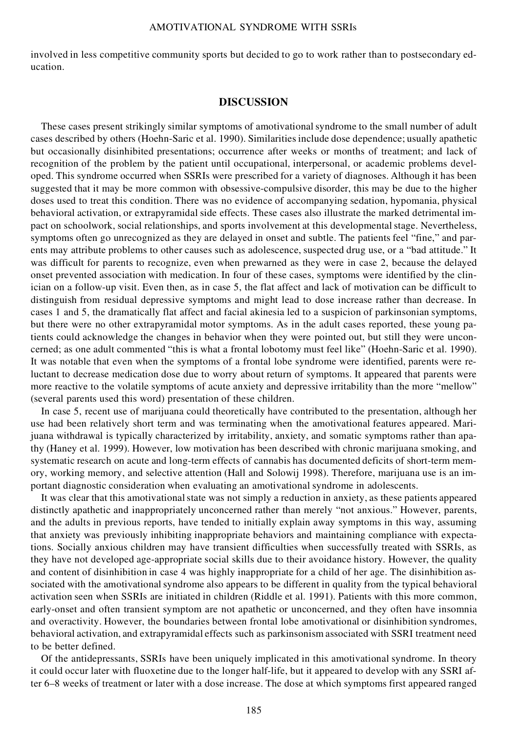#### AMOTIVATIONAL SYNDROME WITH SSRIs

involved in less competitive community sports but decided to go to work rather than to postsecondary education.

#### **DISCUSSION**

These cases present strikingly similar symptoms of amotivational syndrome to the small number of adult cases described by others (Hoehn-Saric et al. 1990). Similarities include dose dependence; usually apathetic but occasionally disinhibited presentations; occurrence after weeks or months of treatment; and lack of recognition of the problem by the patient until occupational, interpersonal, or academic problems developed. This syndrome occurred when SSRIs were prescribed for a variety of diagnoses. Although it has been suggested that it may be more common with obsessive-compulsive disorder, this may be due to the higher doses used to treat this condition. There was no evidence of accompanying sedation, hypomania, physical behavioral activation, or extrapyramidal side effects. These cases also illustrate the marked detrimental impact on schoolwork, social relationships, and sports involvement at this developmental stage. Nevertheless, symptoms often go unrecognized as they are delayed in onset and subtle. The patients feel "fine," and parents may attribute problems to other causes such as adolescence, suspected drug use, or a "bad attitude." It was difficult for parents to recognize, even when prewarned as they were in case 2, because the delayed onset prevented association with medication. In four of these cases, symptoms were identified by the clinician on a follow-up visit. Even then, as in case 5, the flat affect and lack of motivation can be difficult to distinguish from residual depressive symptoms and might lead to dose increase rather than decrease. In cases 1 and 5, the dramatically flat affect and facial akinesia led to a suspicion of parkinsonian symptoms, but there were no other extrapyramidal motor symptoms. As in the adult cases reported, these young patients could acknowledge the changes in behavior when they were pointed out, but still they were unconcerned; as one adult commented "this is what a frontal lobotomy must feel like" (Hoehn-Saric et al. 1990). It was notable that even when the symptoms of a frontal lobe syndrome were identified, parents were reluctant to decrease medication dose due to worry about return of symptoms. It appeared that parents were more reactive to the volatile symptoms of acute anxiety and depressive irritability than the more "mellow" (several parents used this word) presentation of these children.

In case 5, recent use of marijuana could theoretically have contributed to the presentation, although her use had been relatively short term and was terminating when the amotivational features appeared. Marijuana withdrawal is typically characterized by irritability, anxiety, and somatic symptoms rather than apathy (Haney et al. 1999). However, low motivation has been described with chronic marijuana smoking, and systematic research on acute and long-term effects of cannabis has documented deficits of short-term memory, working memory, and selective attention (Hall and Solowij 1998). Therefore, marijuana use is an important diagnostic consideration when evaluating an amotivational syndrome in adolescents.

It was clear that this amotivational state was not simply a reduction in anxiety, as these patients appeared distinctly apathetic and inappropriately unconcerned rather than merely "not anxious." However, parents, and the adults in previous reports, have tended to initially explain away symptoms in this way, assuming that anxiety was previously inhibiting inappropriate behaviors and maintaining compliance with expectations. Socially anxious children may have transient difficulties when successfully treated with SSRIs, as they have not developed age-appropriate social skills due to their avoidance history. However, the quality and content of disinhibition in case 4 was highly inappropriate for a child of her age. The disinhibition associated with the amotivational syndrome also appears to be different in quality from the typical behavioral activation seen when SSRIs are initiated in children (Riddle et al. 1991). Patients with this more common, early-onset and often transient symptom are not apathetic or unconcerned, and they often have insomnia and overactivity. However, the boundaries between frontal lobe amotivational or disinhibition syndromes, behavioral activation, and extrapyramidal effects such as parkinsonism associated with SSRI treatment need to be better defined.

Of the antidepressants, SSRIs have been uniquely implicated in this amotivational syndrome. In theory it could occur later with fluoxetine due to the longer half-life, but it appeared to develop with any SSRI after 6–8 weeks of treatment or later with a dose increase. The dose at which symptoms first appeared ranged